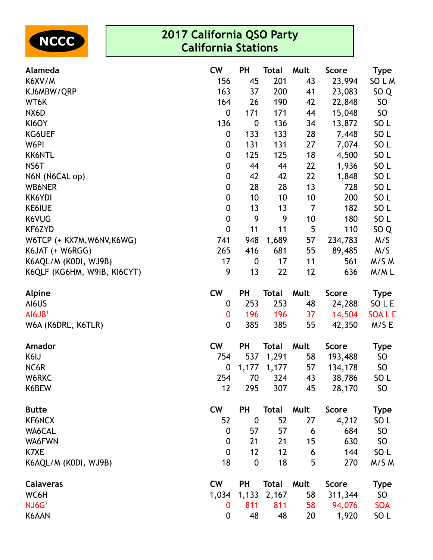

| Alameda                     | <b>CW</b>        | <b>PH</b>        | <b>Total</b> | Mult | <b>Score</b> | <b>Type</b>     |
|-----------------------------|------------------|------------------|--------------|------|--------------|-----------------|
| K6XV/M                      | 156              | 45               | 201          | 43   | 23,994       | SO L M          |
| KJ6MBW/QRP                  | 163              | 37               | 200          | 41   | 23,083       | SO <sub>Q</sub> |
| WT6K                        | 164              | 26               | 190          | 42   | 22,848       | <b>SO</b>       |
| NX6D                        | $\boldsymbol{0}$ | 171              | 171          | 44   | 15,048       | SO <sub>1</sub> |
| KI6OY                       | 136              | 0                | 136          | 34   | 13,872       | SO <sub>L</sub> |
| KG6UEF                      | 0                | 133              | 133          | 28   | 7,448        | SO <sub>L</sub> |
| W6PI                        | $\boldsymbol{0}$ | 131              | 131          | 27   | 7,074        | SO <sub>L</sub> |
| <b>KK6NTL</b>               | $\boldsymbol{0}$ | 125              | 125          | 18   | 4,500        | SO <sub>L</sub> |
| NS6T                        | $\boldsymbol{0}$ | 44               | 44           | 22   | 1,936        | SO <sub>L</sub> |
| N6N (N6CAL op)              | $\boldsymbol{0}$ | 42               | 42           | 22   | 1,848        | SO <sub>L</sub> |
| <b>WB6NER</b>               | $\boldsymbol{0}$ | 28               | 28           | 13   | 728          | SO <sub>L</sub> |
| KK6YDI                      | $\boldsymbol{0}$ | 10               | 10           | 10   | 200          | SO <sub>L</sub> |
| <b>KE6IUE</b>               | $\boldsymbol{0}$ | 13               | 13           | 7    | 182          | SO <sub>L</sub> |
| K6VUG                       | $\pmb{0}$        | 9                | 9            | 10   | 180          | SO <sub>L</sub> |
| KF6ZYD                      | $\mathbf 0$      | 11               | 11           | 5    | 110          | SO <sub>Q</sub> |
| W6TCP (+ KX7M, W6NV, K6WG)  | 741              | 948              | 1,689        | 57   | 234,783      | M/S             |
| K6JAT (+ W6RGG)             | 265              | 416              | 681          | 55   | 89,485       | M/S             |
| K6AQL/M (KODI, WJ9B)        | 17               | $\boldsymbol{0}$ | 17           | 11   | 561          | M/S M           |
| K6QLF (KG6HM, W9IB, KI6CYT) | 9                | 13               | 22           | 12   | 636          | M/ML            |
| Alpine                      | <b>CW</b>        | PH               | <b>Total</b> | Mult | Score        | <b>Type</b>     |
| AI6US                       | 0                | 253              | 253          | 48   | 24,288       | SO L E          |
| AI6JB <sup>1</sup>          | 0                | 196              | 196          | 37   | 14,504       | <b>SOALE</b>    |
| W6A (K6DRL, K6TLR)          | $\boldsymbol{0}$ | 385              | 385          | 55   | 42,350       | M/S E           |
| Amador                      | <b>CW</b>        | <b>PH</b>        | <b>Total</b> | Mult | <b>Score</b> | <b>Type</b>     |
| K6IJ                        | 754              | 537              | 1,291        | 58   | 193,488      | <b>SO</b>       |
| NC6R                        | 0                | 1,177            | 1,177        | 57   | 134,178      | SO              |
| W6RKC                       | 254              | 70               | 324          | 43   | 38,786       | SO <sub>L</sub> |
| K6BEW                       | 12               | 295              | 307          | 45   | 28,170       | <b>SO</b>       |
| <b>Butte</b>                | <b>CW</b>        | <b>PH</b>        | <b>Total</b> | Mult | <b>Score</b> | <b>Type</b>     |
| <b>KF6NCX</b>               | 52               | $\boldsymbol{0}$ | 52           | 27   | 4,212        | SO <sub>L</sub> |
| WA6CAL                      | $\boldsymbol{0}$ | 57               | 57           | 6    | 684          | SO              |
| WA6FWN                      | $\boldsymbol{0}$ | 21               | 21           | 15   | 630          | <b>SO</b>       |
| K7XE                        | $\boldsymbol{0}$ | 12               | 12           | 6    | 144          | SO <sub>L</sub> |
| K6AQL/M (K0DI, WJ9B)        | 18               | $\boldsymbol{0}$ | 18           | 5    | 270          | M/S M           |
| <b>Calaveras</b>            | <b>CW</b>        | <b>PH</b>        | <b>Total</b> | Mult | <b>Score</b> | <b>Type</b>     |
| WC6H                        | 1,034            | 1,133            | 2,167        | 58   | 311,344      | SO              |
| NJ6G <sup>2</sup>           | 0                | 811              | 811          | 58   | 94,076       | <b>SOA</b>      |
| K6AAN                       | $\boldsymbol{0}$ | 48               | 48           | 20   | 1,920        | SO <sub>L</sub> |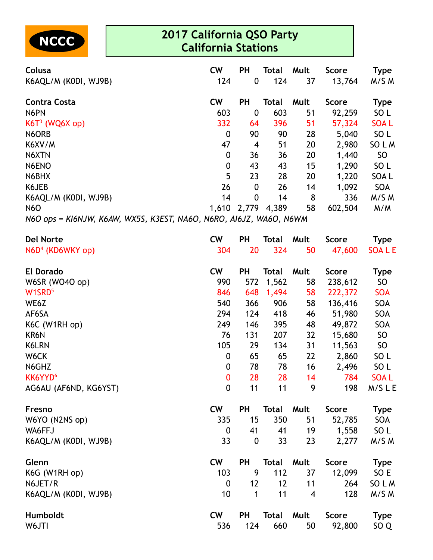

| Colusa<br>K6AQL/M (KODI, WJ9B)                                     | <b>CW</b><br>124 | <b>PH</b><br>$\boldsymbol{0}$ | <b>Total</b><br>124 | Mult<br>37 | <b>Score</b><br>13,764 | <b>Type</b><br>M/S M |
|--------------------------------------------------------------------|------------------|-------------------------------|---------------------|------------|------------------------|----------------------|
| <b>Contra Costa</b>                                                | <b>CW</b>        | <b>PH</b>                     | Total               | Mult       | <b>Score</b>           | <b>Type</b>          |
| N6PN                                                               | 603              | $\mathbf 0$                   | 603                 | 51         | 92,259                 | SO <sub>L</sub>      |
| KGT <sup>3</sup> (WQ6X op)                                         | 332              | 64                            | 396                 | 51         | 57,324                 | <b>SOAL</b>          |
| N6ORB                                                              | $\boldsymbol{0}$ | 90                            | 90                  | 28         | 5,040                  | SO <sub>L</sub>      |
| K6XV/M                                                             | 47               | 4                             | 51                  | 20         | 2,980                  | SO L M               |
| N6XTN                                                              | $\boldsymbol{0}$ | 36                            | 36                  | 20         | 1,440                  | SO                   |
| N6ENO                                                              | 0                | 43                            | 43                  | 15         | 1,290                  | SO <sub>L</sub>      |
| N6BHX                                                              | 5                | 23                            | 28                  | 20         | 1,220                  | SOA L                |
| K6JEB                                                              | 26               | $\mathbf{0}$                  | 26                  | 14         | 1,092                  | <b>SOA</b>           |
| K6AQL/M (KODI, WJ9B)                                               | 14               | $\mathbf{0}$                  | 14                  | 8          | 336                    | M/S M                |
| <b>N6O</b>                                                         | 1,610            |                               | 2,779 4,389         | 58         | 602,504                | M/M                  |
| N6O ops = KI6NJW, K6AW, WX5S, K3EST, NA6O, N6RO, AI6JZ, WA6O, N6WM |                  |                               |                     |            |                        |                      |

| <b>Del Norte</b>      | <b>CW</b>        | <b>PH</b>        | <b>Total</b> | Mult                    | <b>Score</b> | Type            |
|-----------------------|------------------|------------------|--------------|-------------------------|--------------|-----------------|
| $N6D4$ (KD6WKY op)    | 304              | 20               | 324          | 50                      | 47,600       | <b>SOALE</b>    |
| <b>El Dorado</b>      | <b>CW</b>        | PH               | <b>Total</b> | Mult                    | <b>Score</b> | <b>Type</b>     |
| W6SR (WO4O op)        | 990              | 572              | 1,562        | 58                      | 238,612      | <b>SO</b>       |
| W1SRD <sup>5</sup>    | 846              | 648              | 1,494        | 58                      | 222,372      | <b>SOA</b>      |
| WE6Z                  | 540              | 366              | 906          | 58                      | 136,416      | SOA             |
| AF6SA                 | 294              | 124              | 418          | 46                      | 51,980       | SOA             |
| K6C (W1RH op)         | 249              | 146              | 395          | 48                      | 49,872       | SOA             |
| KR6N                  | 76               | 131              | 207          | 32                      | 15,680       | SO              |
| K6LRN                 | 105              | 29               | 134          | 31                      | 11,563       | <b>SO</b>       |
| W6CK                  | $\boldsymbol{0}$ | 65               | 65           | 22                      | 2,860        | SO <sub>L</sub> |
| N6GHZ                 | $\boldsymbol{0}$ | 78               | 78           | 16                      | 2,496        | SO <sub>L</sub> |
| KK6YYD <sup>6</sup>   | $\mathbf{0}$     | 28               | 28           | 14                      | 784          | <b>SOAL</b>     |
| AG6AU (AF6ND, KG6YST) | $\mathbf 0$      | 11               | 11           | 9                       | 198          | M/SLE           |
| <b>Fresno</b>         | <b>CW</b>        | PH               | <b>Total</b> | Mult                    | <b>Score</b> | <b>Type</b>     |
| W6YO (N2NS op)        | 335              | 15               | 350          | 51                      | 52,785       | SOA             |
| WA6FFJ                | $\mathbf 0$      | 41               | 41           | 19                      | 1,558        | SO <sub>L</sub> |
| K6AQL/M (KODI, WJ9B)  | 33               | $\boldsymbol{0}$ | 33           | 23                      | 2,277        | M/S M           |
| Glenn                 | <b>CW</b>        | <b>PH</b>        | <b>Total</b> | Mult                    | <b>Score</b> | <b>Type</b>     |
| K6G (W1RH op)         | 103              | 9                | 112          | 37                      | 12,099       | SO E            |
| N6JET/R               | $\mathbf 0$      | 12               | 12           | 11                      | 264          | SO L M          |
| K6AQL/M (K0DI, WJ9B)  | 10               | 1                | 11           | $\overline{\mathbf{4}}$ | 128          | M/S M           |
| Humboldt              | <b>CW</b>        | PH               | <b>Total</b> | Mult                    | <b>Score</b> | <b>Type</b>     |
| W6JTI                 | 536              | 124              | 660          | 50                      | 92,800       | SO <sub>Q</sub> |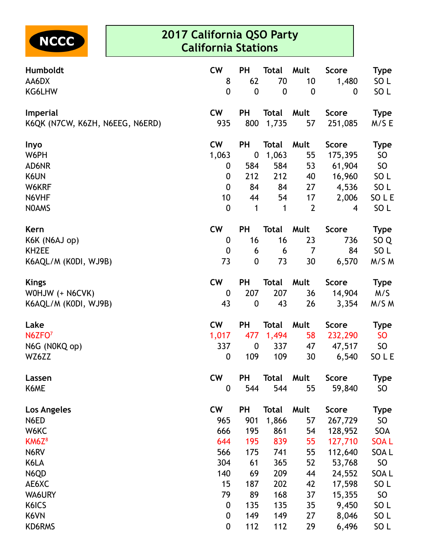

| Humboldt                        | <b>CW</b>        | <b>PH</b>        | <b>Total</b> | Mult           | <b>Score</b> | <b>Type</b>     |
|---------------------------------|------------------|------------------|--------------|----------------|--------------|-----------------|
| AA6DX                           | 8                | 62               | 70           | 10             | 1,480        | SO <sub>L</sub> |
| KG6LHW                          | $\mathbf{0}$     | $\mathbf 0$      | $\mathbf 0$  | $\mathbf 0$    | 0            | SO <sub>L</sub> |
| Imperial                        | <b>CW</b>        | PH               | <b>Total</b> | Mult           | <b>Score</b> | <b>Type</b>     |
| K6QK (N7CW, K6ZH, N6EEG, N6ERD) | 935              | 800              | 1,735        | 57             | 251,085      | M/SE            |
| Inyo                            | <b>CW</b>        | <b>PH</b>        | <b>Total</b> | Mult           | <b>Score</b> | <b>Type</b>     |
| W6PH                            | 1,063            | $\boldsymbol{0}$ | 1,063        | 55             | 175,395      | SO              |
| AD6NR                           | 0                | 584              | 584          | 53             | 61,904       | SO              |
| K6UN                            | 0                | 212              | 212          | 40             | 16,960       | SO <sub>L</sub> |
| W6KRF                           | $\mathbf 0$      | 84               | 84           | 27             | 4,536        | SO L            |
| N6VHF                           | 10               | 44               | 54           | 17             | 2,006        | SO L E          |
| <b>NOAMS</b>                    | $\mathbf 0$      | 1                | 1            | $\overline{2}$ | 4            | SO <sub>L</sub> |
| Kern                            | <b>CW</b>        | PH               | <b>Total</b> | Mult           | <b>Score</b> | <b>Type</b>     |
| K6K (N6AJ op)                   | 0                | 16               | 16           | 23             | 736          | SO <sub>Q</sub> |
| KH <sub>2</sub> EE              | 0                | 6                | 6            | 7              | 84           | SO L            |
| K6AQL/M (KODI, WJ9B)            | 73               | $\mathbf 0$      | 73           | 30             | 6,570        | M/S M           |
| <b>Kings</b>                    | <b>CW</b>        | PH               | <b>Total</b> | Mult           | <b>Score</b> | <b>Type</b>     |
| WOHJW (+ N6CVK)                 | $\boldsymbol{0}$ | 207              | 207          | 36             | 14,904       | M/S             |
| K6AQL/M (KODI, WJ9B)            | 43               | $\boldsymbol{0}$ | 43           | 26             | 3,354        | M/S M           |
| Lake                            | <b>CW</b>        | <b>PH</b>        | <b>Total</b> | Mult           | <b>Score</b> | <b>Type</b>     |
| N6ZFO <sup>7</sup>              | 1,017            | 477              | 1,494        | 58             | 232,290      | SO              |
| N6G (N0KQ op)                   | 337              | $\boldsymbol{0}$ | 337          | 47             | 47,517       | SO              |
| WZ6ZZ                           | $\mathbf 0$      | 109              | 109          | 30             | 6,540        | SO L E          |
| Lassen                          | <b>CW</b>        | <b>PH</b>        | Total        | Mult           | <b>Score</b> | Type            |
| K6ME                            | 0                | 544              | 544          | 55             | 59,840       | SO              |
| <b>Los Angeles</b>              | <b>CW</b>        | <b>PH</b>        | <b>Total</b> | Mult           | <b>Score</b> | <b>Type</b>     |
| N6ED                            | 965              | 901              | 1,866        | 57             | 267,729      | SO              |
| W6KC                            | 666              | 195              | 861          | 54             | 128,952      | SOA             |
| KM6Z <sup>8</sup>               | 644              | 195              | 839          | 55             | 127,710      | <b>SOAL</b>     |
| N6RV                            | 566              | 175              | 741          | 55             | 112,640      | SOA L           |
| K6LA                            | 304              | 61               | 365          | 52             | 53,768       | SO              |
| N6QD                            | 140              | 69               | 209          | 44             | 24,552       | SOA L           |
| AE6XC                           | 15               | 187              | 202          | 42             | 17,598       | SO <sub>L</sub> |
| WA6URY                          | 79               | 89               | 168          | 37             | 15,355       | SO              |
| K6ICS                           | 0                | 135              | 135          | 35             | 9,450        | SO <sub>L</sub> |
| K6VN                            | $\mathbf 0$      | 149              | 149          | 27             | 8,046        | SO L            |
| KD6RMS                          | $\mathbf 0$      | 112              | 112          | 29             | 6,496        | SO L            |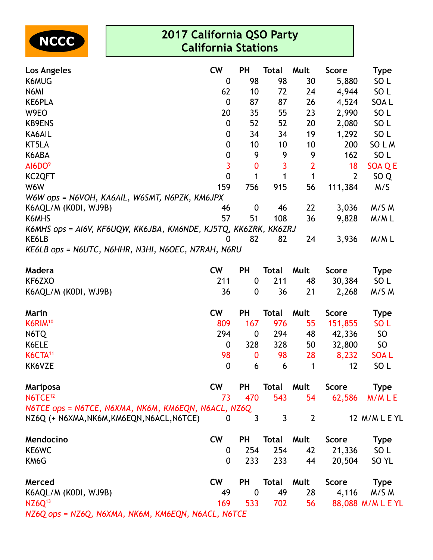

| Los Angeles                                                     | <b>CW</b>   | <b>PH</b>        | <b>Total</b> | Mult           | <b>Score</b>   | <b>Type</b>       |
|-----------------------------------------------------------------|-------------|------------------|--------------|----------------|----------------|-------------------|
| K6MUG                                                           | 0           | 98               | 98           | 30             | 5,880          | SO <sub>L</sub>   |
| N6MI                                                            | 62          | 10               | 72           | 24             | 4,944          | SO <sub>L</sub>   |
| KE6PLA                                                          | $\mathbf 0$ | 87               | 87           | 26             | 4,524          | SOA L             |
| W9EO                                                            | 20          | 35               | 55           | 23             | 2,990          | SO <sub>L</sub>   |
| <b>KB9ENS</b>                                                   | 0           | 52               | 52           | 20             | 2,080          | SO <sub>L</sub>   |
| KA6AIL                                                          | 0           | 34               | 34           | 19             | 1,292          | SO <sub>L</sub>   |
| KT5LA                                                           | 0           | 10               | 10           | 10             | 200            | SO L M            |
| K6ABA                                                           | $\pmb{0}$   | 9                | 9            | 9              | 162            | SO <sub>L</sub>   |
| AI6DO <sup>9</sup>                                              | 3           | $\bf{0}$         | 3            | $\overline{2}$ | 18             | SOA Q E           |
| KC2QFT                                                          | $\mathbf 0$ | 1                | 1            | $\mathbf{1}$   | $\overline{2}$ | SO <sub>Q</sub>   |
| W6W                                                             | 159         | 756              | 915          | 56             | 111,384        | M/S               |
| W6W ops = N6VOH, KA6AIL, W6SMT, N6PZK, KM6JPX                   |             |                  |              |                |                |                   |
| K6AQL/M (KODI, WJ9B)                                            | 46          | $\boldsymbol{0}$ | 46           | 22             | 3,036          | M/S M             |
| K6MHS                                                           | 57          | 51               | 108          | 36             | 9,828          | M/ML              |
| K6MHS ops = AI6V, KF6UQW, KK6JBA, KM6NDE, KJ5TQ, KK6ZRK, KK6ZRJ |             |                  |              |                |                |                   |
| KE6LB                                                           | 0           | 82               | 82           | 24             | 3,936          | M/ML              |
| KE6LB ops = N6UTC, N6HHR, N3HI, N6OEC, N7RAH, N6RU              |             |                  |              |                |                |                   |
| <b>Madera</b>                                                   | <b>CW</b>   | PH               | <b>Total</b> | Mult           | <b>Score</b>   | <b>Type</b>       |
| KF6ZXO                                                          | 211         | $\boldsymbol{0}$ | 211          | 48             | 30,384         | SO <sub>L</sub>   |
| K6AQL/M (KODI, WJ9B)                                            | 36          | $\boldsymbol{0}$ | 36           | 21             | 2,268          | M/S M             |
| Marin                                                           | <b>CW</b>   | <b>PH</b>        | <b>Total</b> | Mult           | <b>Score</b>   | <b>Type</b>       |
| K6RIM <sup>10</sup>                                             | 809         | 167              | 976          | 55             | 151,855        | SO <sub>L</sub>   |
| N6TQ                                                            | 294         | $\boldsymbol{0}$ | 294          | 48             | 42,336         | SO <sub>1</sub>   |
| K6ELE                                                           | 0           | 328              | 328          | 50             | 32,800         | SO <sub>1</sub>   |
| K6CTA <sup>11</sup>                                             | 98          | 0                | 98           | 28             | 8,232          | <b>SOAL</b>       |
| KK6VZE                                                          | $\pmb{0}$   | 6                | 6            | 1              | 12             | SO <sub>L</sub>   |
| Mariposa                                                        | <b>CW</b>   | <b>PH</b>        | <b>Total</b> | Mult           | <b>Score</b>   | <b>Type</b>       |
| N6TCE <sup>12</sup>                                             | 73          | 470              | 543          | 54             | 62,586         | M/MLE             |
| N6TCE ops = N6TCE, N6XMA, NK6M, KM6EQN, N6ACL, NZ6Q             |             |                  |              |                |                |                   |
| NZ6Q (+ N6XMA, NK6M, KM6EQN, N6ACL, N6TCE)                      | 0           | 3                | 3            | $\overline{2}$ |                | 12 M/M L E YL     |
| Mendocino                                                       | <b>CW</b>   | PH               | <b>Total</b> | Mult           | <b>Score</b>   | <b>Type</b>       |
| KE6WC                                                           | 0           | 254              | 254          | 42             | 21,336         | SO <sub>L</sub>   |
| KM6G                                                            | 0           | 233              | 233          | 44             | 20,504         | SO <sub>YL</sub>  |
| Merced                                                          | <b>CW</b>   | <b>PH</b>        | <b>Total</b> | Mult           | <b>Score</b>   | <b>Type</b>       |
| K6AQL/M (KODI, WJ9B)                                            | 49          | $\boldsymbol{0}$ | 49           | 28             | 4,116          | M/S M             |
| NZ6Q <sup>13</sup>                                              | 169         | 533              | 702          | 56             |                | 88,088 M/M L E YL |
|                                                                 |             |                  |              |                |                |                   |

*NZ6Q ops = NZ6Q, N6XMA, NK6M, KM6EQN, N6ACL, N6TCE*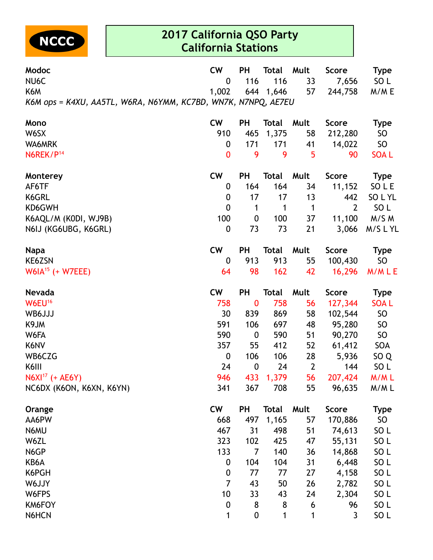

| <b>Modoc</b><br>NU <sub>6</sub> C                             | <b>CW</b><br>0   | <b>PH</b><br>116 | <b>Total</b><br>116 | Mult<br>33     | <b>Score</b><br>7,656 | <b>Type</b><br>SO L |
|---------------------------------------------------------------|------------------|------------------|---------------------|----------------|-----------------------|---------------------|
| K6M                                                           | 1,002            |                  | 644 1,646           | 57             | 244,758               | M/M E               |
| K6M ops = K4XU, AA5TL, W6RA, N6YMM, KC7BD, WN7K, N7NPQ, AE7EU |                  |                  |                     |                |                       |                     |
| Mono                                                          | <b>CW</b>        | <b>PH</b>        | <b>Total</b>        | Mult           | <b>Score</b>          | <b>Type</b>         |
| W6SX                                                          | 910              | 465              | 1,375               | 58             | 212,280               | SO                  |
| WA6MRK                                                        | 0                | 171              | 171                 | 41             | 14,022                | SO                  |
| N6REK/P <sup>14</sup>                                         | $\boldsymbol{0}$ | 9                | 9                   | 5              | 90                    | <b>SOAL</b>         |
| Monterey                                                      | <b>CW</b>        | <b>PH</b>        | <b>Total</b>        | Mult           | <b>Score</b>          | <b>Type</b>         |
| AF6TF                                                         | 0                | 164              | 164                 | 34             | 11,152                | SO L E              |
| K6GRL                                                         | 0                | 17               | 17                  | 13             | 442                   | SO L YL             |
| KD6GWH                                                        | $\mathbf 0$      | 1                | 1                   | $\mathbf 1$    | $\overline{2}$        | SO <sub>L</sub>     |
| K6AQL/M (K0DI, WJ9B)                                          | 100              | $\boldsymbol{0}$ | 100                 | 37             | 11,100                | M/S M               |
| N6IJ (KG6UBG, K6GRL)                                          | 0                | 73               | 73                  | 21             | 3,066                 | M/SLYL              |
| <b>Napa</b>                                                   | cw               | <b>PH</b>        | <b>Total</b>        | Mult           | <b>Score</b>          | <b>Type</b>         |
| <b>KE6ZSN</b>                                                 | 0                | 913              | 913                 | 55             | 100,430               | SO <sub>1</sub>     |
| $W6IA^{15}$ (+ W7EEE)                                         | 64               | 98               | 162                 | 42             | 16,296                | M/MLE               |
| <b>Nevada</b>                                                 | <b>CW</b>        | <b>PH</b>        | <b>Total</b>        | Mult           | <b>Score</b>          | <b>Type</b>         |
| W6EU <sup>16</sup>                                            | 758              | $\bf{0}$         | 758                 | 56             | 127,344               | <b>SOAL</b>         |
| WB6JJJ                                                        | 30               | 839              | 869                 | 58             | 102,544               | SO                  |
| K9JM                                                          | 591              | 106              | 697                 | 48             | 95,280                | SO                  |
| W6FA                                                          | 590              | $\boldsymbol{0}$ | 590                 | 51             | 90,270                | SO                  |
| K6NV                                                          | 357              | 55               | 412                 | 52             | 61,412                | SOA                 |
| WB6CZG                                                        | 0                | 106              | 106                 | 28             | 5,936                 | SO <sub>Q</sub>     |
| K6III                                                         | 24               | $\boldsymbol{0}$ | 24                  | $\overline{2}$ | 144                   | SO <sub>L</sub>     |
| $N6XI^{17}$ (+ AE6Y)                                          | 946              | 433              | 1,379               | 56             | 207,424               | M/ML                |
| NC6DX (K6ON, K6XN, K6YN)                                      | 341              | 367              | 708                 | 55             | 96,635                | M/ML                |
| Orange                                                        | <b>CW</b>        | <b>PH</b>        | <b>Total</b>        | Mult           | <b>Score</b>          | <b>Type</b>         |
| AA6PW                                                         | 668              | 497              | 1,165               | 57             | 170,886               | SO <sub>1</sub>     |
| N6MU                                                          | 467              | 31               | 498                 | 51             | 74,613                | SO <sub>L</sub>     |
| W6ZL                                                          | 323              | 102              | 425                 | 47             | 55,131                | SO <sub>L</sub>     |
| N6GP                                                          | 133              | 7                | 140                 | 36             | 14,868                | SO <sub>L</sub>     |
| KB6A                                                          | $\boldsymbol{0}$ | 104              | 104                 | 31             | 6,448                 | SO <sub>L</sub>     |
| K6PGH                                                         | $\boldsymbol{0}$ | 77               | 77                  | 27             | 4,158                 | SO <sub>L</sub>     |
| W6JJY                                                         | $\overline{7}$   | 43               | 50                  | 26             | 2,782                 | SO <sub>L</sub>     |
| W6FPS                                                         | 10               | 33               | 43                  | 24             | 2,304                 | SO <sub>L</sub>     |
| KM6FOY                                                        | $\boldsymbol{0}$ | 8                | 8                   | 6              | 96                    | SO <sub>L</sub>     |
| N6HCN                                                         | 1                | $\boldsymbol{0}$ | 1                   | 1              | 3                     | SO <sub>L</sub>     |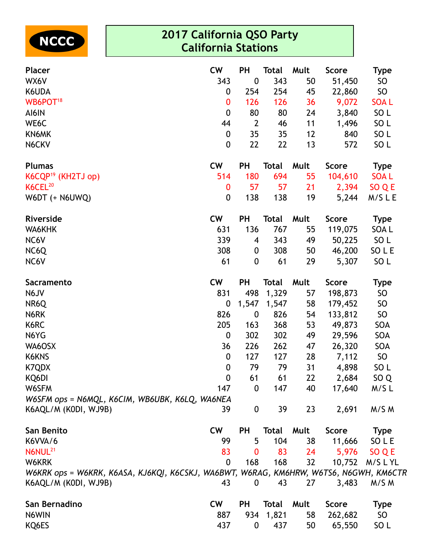

| <b>Placer</b>                                                                         | <b>CW</b>        | <b>PH</b>        | <b>Total</b> | Mult | <b>Score</b> | <b>Type</b>     |
|---------------------------------------------------------------------------------------|------------------|------------------|--------------|------|--------------|-----------------|
| WX6V                                                                                  | 343              | $\boldsymbol{0}$ | 343          | 50   | 51,450       | SO              |
| K6UDA                                                                                 | 0                | 254              | 254          | 45   | 22,860       | SO              |
| WB6POT <sup>18</sup>                                                                  | $\bf{0}$         | 126              | 126          | 36   | 9,072        | <b>SOAL</b>     |
| AI6IN                                                                                 | $\mathbf 0$      | 80               | 80           | 24   | 3,840        | SO <sub>L</sub> |
| WE6C                                                                                  | 44               | $\overline{2}$   | 46           | 11   | 1,496        | SO <sub>L</sub> |
| KN6MK                                                                                 | $\boldsymbol{0}$ | 35               | 35           | 12   | 840          | SO <sub>L</sub> |
| N6CKV                                                                                 | $\boldsymbol{0}$ | 22               | 22           | 13   | 572          | SO <sub>L</sub> |
| <b>Plumas</b>                                                                         | <b>CW</b>        | <b>PH</b>        | <b>Total</b> | Mult | <b>Score</b> | <b>Type</b>     |
| K6CQP <sup>19</sup> (KH2TJ op)                                                        | 514              | 180              | 694          | 55   | 104,610      | <b>SOAL</b>     |
| K6CEL <sup>20</sup>                                                                   | $\bf{0}$         | 57               | 57           | 21   | 2,394        | SO Q E          |
| W6DT (+ N6UWQ)                                                                        | $\mathbf 0$      | 138              | 138          | 19   | 5,244        | M/SLE           |
| Riverside                                                                             | <b>CW</b>        | <b>PH</b>        | <b>Total</b> | Mult | <b>Score</b> | <b>Type</b>     |
| WA6KHK                                                                                | 631              | 136              | 767          | 55   | 119,075      | SOA L           |
| NC6V                                                                                  | 339              | 4                | 343          | 49   | 50,225       | SO <sub>L</sub> |
| NC6Q                                                                                  | 308              | 0                | 308          | 50   | 46,200       | SO L E          |
| NC6V                                                                                  | 61               | $\mathbf{0}$     | 61           | 29   | 5,307        | SO <sub>L</sub> |
| Sacramento                                                                            | <b>CW</b>        | <b>PH</b>        | <b>Total</b> | Mult | <b>Score</b> | <b>Type</b>     |
| N6JV                                                                                  | 831              | 498              | 1,329        | 57   | 198,873      | SO              |
| NR6Q                                                                                  | 0                | 1,547            | 1,547        | 58   | 179,452      | SO              |
| N6RK                                                                                  | 826              | $\boldsymbol{0}$ | 826          | 54   | 133,812      | SO              |
| K6RC                                                                                  | 205              | 163              | 368          | 53   | 49,873       | SOA             |
| N6YG                                                                                  | $\mathbf 0$      | 302              | 302          | 49   | 29,596       | SOA             |
| WA6OSX                                                                                | 36               | 226              | 262          | 47   | 26,320       | SOA             |
| K6KNS                                                                                 | $\boldsymbol{0}$ | 127              | 127          | 28   | 7,112        | <b>SO</b>       |
| K7QDX                                                                                 | $\boldsymbol{0}$ | 79               | 79           | 31   | 4,898        | SO <sub>L</sub> |
| KQ6DI                                                                                 | $\mathbf{0}$     | 61               | 61           | 22   | 2,684        | SO <sub>Q</sub> |
| W6SFM                                                                                 | 147              | $\boldsymbol{0}$ | 147          | 40   | 17,640       | M/SL            |
| W6SFM ops = N6MQL, K6CIM, WB6UBK, K6LQ, WA6NEA                                        |                  |                  |              |      |              |                 |
| K6AQL/M (KODI, WJ9B)                                                                  | 39               | $\boldsymbol{0}$ | 39           | 23   | 2,691        | M/S M           |
| San Benito                                                                            | <b>CW</b>        | PH               | Total        | Mult | <b>Score</b> | <b>Type</b>     |
| K6VVA/6                                                                               | 99               | 5                | 104          | 38   | 11,666       | SO L E          |
| N6NUL <sup>21</sup>                                                                   | 83               | 0                | 83           | 24   | 5,976        | SO Q E          |
| W6KRK                                                                                 | $\mathbf 0$      | 168              | 168          | 32   | 10,752       | M/SLYL          |
| W6KRK ops = W6KRK, K6ASA, KJ6KQI, K6CSKJ, WA6BWT, W6RAG, KM6HRW, W6TS6, N6GWH, KM6CTR |                  |                  |              |      |              |                 |
| K6AQL/M (KODI, WJ9B)                                                                  | 43               | 0                | 43           | 27   | 3,483        | M/S M           |
| San Bernadino                                                                         | <b>CW</b>        | PH               | Total        | Mult | <b>Score</b> | <b>Type</b>     |
| N6WIN                                                                                 | 887              | 934              | 1,821        | 58   | 262,682      | SO <sub>1</sub> |
| KQ6ES                                                                                 | 437              | 0                | 437          | 50   | 65,550       | SO <sub>L</sub> |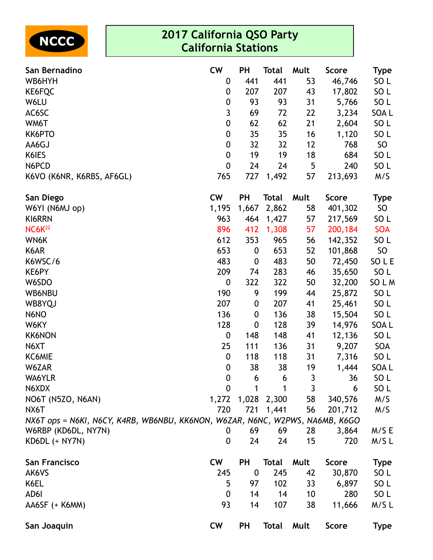

| San Bernadino                                                                | <b>CW</b>        | <b>PH</b>        | Total        | Mult | <b>Score</b> | <b>Type</b>     |
|------------------------------------------------------------------------------|------------------|------------------|--------------|------|--------------|-----------------|
| WB6HYH                                                                       | $\boldsymbol{0}$ | 441              | 441          | 53   | 46,746       | SO <sub>L</sub> |
| KE6FQC                                                                       | 0                | 207              | 207          | 43   | 17,802       | SO <sub>L</sub> |
| W6LU                                                                         | 0                | 93               | 93           | 31   | 5,766        | SO <sub>L</sub> |
| AC6SC                                                                        | 3                | 69               | 72           | 22   | 3,234        | SOA L           |
| WM6T                                                                         | $\mathbf 0$      | 62               | 62           | 21   | 2,604        | SO <sub>L</sub> |
| KK6PTO                                                                       | 0                | 35               | 35           | 16   | 1,120        | SO <sub>L</sub> |
| AA6GJ                                                                        | $\boldsymbol{0}$ | 32               | 32           | 12   | 768          | <b>SO</b>       |
| K6IES                                                                        | 0                | 19               | 19           | 18   | 684          | SO <sub>L</sub> |
| N6PCD                                                                        | $\mathbf 0$      | 24               | 24           | 5    | 240          | SO <sub>L</sub> |
| K6VO (K6NR, K6RBS, AF6GL)                                                    | 765              | 727              | 1,492        | 57   | 213,693      | M/S             |
| San Diego                                                                    | <b>CW</b>        | <b>PH</b>        | <b>Total</b> | Mult | <b>Score</b> | <b>Type</b>     |
| W6YI (N6MJ op)                                                               | 1,195            | 1,667            | 2,862        | 58   | 401,302      | <b>SO</b>       |
| KI6RRN                                                                       | 963              | 464              | 1,427        | 57   | 217,569      | SO <sub>L</sub> |
| <b>NC6K22</b>                                                                | 896              | 412              | 1,308        | 57   | 200,184      | <b>SOA</b>      |
| WN6K                                                                         | 612              | 353              | 965          | 56   | 142,352      | SO <sub>L</sub> |
| K6AR                                                                         | 653              | $\boldsymbol{0}$ | 653          | 52   | 101,868      | <b>SO</b>       |
| K6WSC/6                                                                      | 483              | $\boldsymbol{0}$ | 483          | 50   | 72,450       | SO L E          |
| KE6PY                                                                        | 209              | 74               | 283          | 46   | 35,650       | SO <sub>L</sub> |
| W6SDO                                                                        | $\mathbf 0$      | 322              | 322          | 50   | 32,200       | SO L M          |
| <b>WB6NBU</b>                                                                | 190              | 9                | 199          | 44   | 25,872       | SO <sub>L</sub> |
| WB8YQJ                                                                       | 207              | $\boldsymbol{0}$ | 207          | 41   | 25,461       | SO <sub>L</sub> |
| N6NO                                                                         | 136              | $\boldsymbol{0}$ | 136          | 38   | 15,504       | SO <sub>L</sub> |
| W6KY                                                                         | 128              | $\boldsymbol{0}$ | 128          | 39   | 14,976       | SOA L           |
| <b>KK6NON</b>                                                                | $\boldsymbol{0}$ | 148              | 148          | 41   | 12,136       | SO <sub>L</sub> |
| N6XT                                                                         | 25               | 111              | 136          | 31   | 9,207        | SOA             |
| KC6MIE                                                                       | $\boldsymbol{0}$ | 118              | 118          | 31   | 7,316        | SO <sub>L</sub> |
| W6ZAR                                                                        | $\boldsymbol{0}$ | 38               | 38           | 19   | 1,444        | SOA L           |
| WA6YLR                                                                       | $\mathbf 0$      | 6                | 6            | 3    | 36           | SO <sub>L</sub> |
| N6XDX                                                                        | 0                | 1                | 1            | 3    | 6            | SO <sub>L</sub> |
| NO6T (N5ZO, N6AN)                                                            | 1,272            |                  | 1,028 2,300  | 58   | 340,576      | M/S             |
| NX6T                                                                         | 720              | 721              | 1,441        | 56   | 201,712      | M/S             |
| NX6T ops = N6KI, N6CY, K4RB, WB6NBU, KK6NON, W6ZAR, N6NC, W2PWS, NA6MB, K6GO |                  |                  |              |      |              |                 |
| W6RBP (KD6DL, NY7N)                                                          | 0                | 69               | 69           | 28   | 3,864        | M/SE            |
| KD6DL (+ NY7N)                                                               | $\boldsymbol{0}$ | 24               | 24           | 15   | 720          | M/SL            |
| San Francisco                                                                | <b>CW</b>        | PH               | <b>Total</b> | Mult | <b>Score</b> | <b>Type</b>     |
| AK6VS                                                                        | 245              | $\boldsymbol{0}$ | 245          | 42   | 30,870       | SO L            |
| K6EL                                                                         | 5                | 97               | 102          | 33   | 6,897        | SO L            |
| AD6I                                                                         | $\mathbf 0$      | 14               | 14           | 10   | 280          | SO <sub>L</sub> |
| AA6SF (+ K6MM)                                                               | 93               | 14               | 107          | 38   | 11,666       | M/SL            |
| San Joaquin                                                                  | <b>CW</b>        | <b>PH</b>        | <b>Total</b> | Mult | <b>Score</b> | <b>Type</b>     |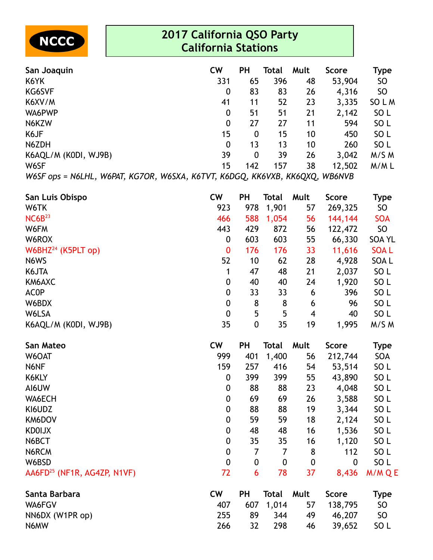

| San Joaquin                                 | <b>CW</b>                                    | ΡH  | Total | Mult | <b>Score</b>                                                                           | Type            |
|---------------------------------------------|----------------------------------------------|-----|-------|------|----------------------------------------------------------------------------------------|-----------------|
| K6YK                                        | 331                                          | 65  | 396   | 48   | 53,904                                                                                 | <b>SO</b>       |
| <b>KG6SVF</b>                               | 0                                            | 83  | 83    | 26   | 4,316                                                                                  | <b>SO</b>       |
| K6XV/M                                      | 41                                           | 11  | 52    | 23   | 3,335                                                                                  | SO L M          |
| WA6PWP                                      | 0                                            | 51  | 51    | 21   | 2,142                                                                                  | SO <sub>L</sub> |
| N6KZW                                       | 0                                            | 27  | 27    | 11   | 594                                                                                    | SO <sub>L</sub> |
| K6JF                                        | 15                                           | 0   | 15    | 10   | 450                                                                                    | SO <sub>L</sub> |
| N6ZDH                                       | $\mathbf 0$                                  | 13  | 13    | 10   | 260                                                                                    | SO <sub>L</sub> |
| K6AQL/M (KODI, WJ9B)                        | 39                                           | 0   | 39    | 26   | 3,042                                                                                  | M/S M           |
| W6SF                                        | 15                                           | 142 | 157   | 38   | 12,502                                                                                 | M/ML            |
| $\blacksquare$<br>*******<br>11/101T 1/6700 | 11177711<br>,,, <del>,</del> ,, <del>,</del> |     |       |      | $\overline{1110000}$ $\overline{11111100}$ $\overline{11111000}$ $\overline{11101010}$ |                 |

*W6SF ops = N6LHL, W6PAT, KG7OR, W6SXA, K6TVT, K6DGQ, KK6VXB, KK6QXQ, WB6NVB*

| San Luis Obispo          | <b>CW</b>        | <b>PH</b>        | Total | Mult | <b>Score</b> | <b>Type</b>     |
|--------------------------|------------------|------------------|-------|------|--------------|-----------------|
| W6TK                     | 923              | 978              | 1,901 | 57   | 269,325      | <b>SO</b>       |
| NC6B <sup>23</sup>       | 466              | 588              | 1,054 | 56   | 144,144      | <b>SOA</b>      |
| W6FM                     | 443              | 429              | 872   | 56   | 122,472      | <b>SO</b>       |
| W6ROX                    | 0                | 603              | 603   | 55   | 66,330       | <b>SOA YL</b>   |
| W6BH $Z^{24}$ (K5PLT op) | $\mathbf{0}$     | 176              | 176   | 33   | 11,616       | <b>SOAL</b>     |
| N6WS                     | 52               | 10               | 62    | 28   | 4,928        | SOA L           |
| K6JTA                    | 1                | 47               | 48    | 21   | 2,037        | SO <sub>L</sub> |
| KM6AXC                   | 0                | 40               | 40    | 24   | 1,920        | SO <sub>L</sub> |
| <b>ACOP</b>              | $\mathbf 0$      | 33               | 33    | 6    | 396          | SO <sub>L</sub> |
| W6BDX                    | $\mathbf 0$      | 8                | 8     | 6    | 96           | SO <sub>L</sub> |
| W6LSA                    | $\boldsymbol{0}$ | 5                | 5     | 4    | 40           | SO <sub>L</sub> |
| K6AQL/M (KODI, WJ9B)     | 35               | $\boldsymbol{0}$ | 35    | 19   | 1,995        | M/S M           |

| San Mateo                               | <b>CW</b>        | PH               | Total | Mult             | <b>Score</b> | Type            |
|-----------------------------------------|------------------|------------------|-------|------------------|--------------|-----------------|
| W6OAT                                   | 999              | 401              | 1,400 | 56               | 212,744      | <b>SOA</b>      |
| N6NF                                    | 159              | 257              | 416   | 54               | 53,514       | SO <sub>L</sub> |
| K6KLY                                   | 0                | 399              | 399   | 55               | 43,890       | SO <sub>L</sub> |
| AI6UW                                   | $\boldsymbol{0}$ | 88               | 88    | 23               | 4,048        | SO <sub>L</sub> |
| WA6ECH                                  | $\boldsymbol{0}$ | 69               | 69    | 26               | 3,588        | SO <sub>L</sub> |
| KI6UDZ                                  | 0                | 88               | 88    | 19               | 3,344        | SO <sub>L</sub> |
| KM6DOV                                  | $\mathbf 0$      | 59               | 59    | 18               | 2,124        | SO <sub>L</sub> |
| <b>KDOIJX</b>                           | $\mathbf 0$      | 48               | 48    | 16               | 1,536        | SO <sub>L</sub> |
| N6BCT                                   | $\boldsymbol{0}$ | 35               | 35    | 16               | 1,120        | SO <sub>L</sub> |
| N6RCM                                   | $\boldsymbol{0}$ | 7                | 7     | 8                | 112          | SO <sub>L</sub> |
| W6BSD                                   | $\mathbf 0$      | $\boldsymbol{0}$ | 0     | $\boldsymbol{0}$ | 0            | SO <sub>L</sub> |
| AA6FD <sup>25</sup> (NF1R, AG4ZP, N1VF) | 72               | 6                | 78    | 37               | 8,436        | M/M Q E         |
| Santa Barbara                           | <b>CW</b>        | PH               | Total | Mult             | <b>Score</b> | <b>Type</b>     |
| WA6FGV                                  | 407              | 607              | 1,014 | 57               | 138,795      | SO              |
| NN6DX (W1PR op)                         | 255              | 89               | 344   | 49               | 46,207       | <b>SO</b>       |
| N6MW                                    | 266              | 32               | 298   | 46               | 39,652       | SO <sub>L</sub> |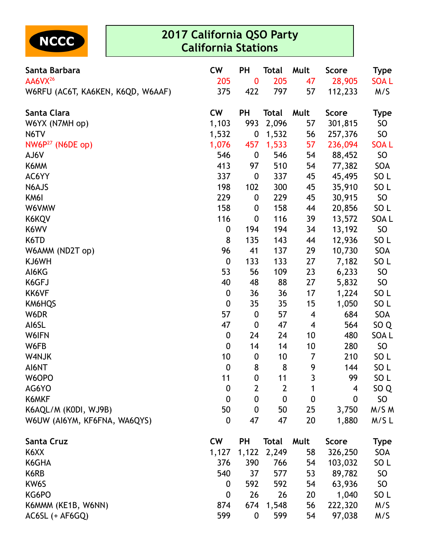

| Santa Barbara                     | <b>CW</b>        | PH               | <b>Total</b>     | Mult        | <b>Score</b> | <b>Type</b>     |
|-----------------------------------|------------------|------------------|------------------|-------------|--------------|-----------------|
| AA6VX <sup>26</sup>               | 205              | 0                | 205              | 47          | 28,905       | <b>SOAL</b>     |
| W6RFU (AC6T, KA6KEN, K6QD, W6AAF) | 375              | 422              | 797              | 57          | 112,233      | M/S             |
| Santa Clara                       | <b>CW</b>        | <b>PH</b>        | <b>Total</b>     | Mult        | <b>Score</b> | <b>Type</b>     |
| W6YX (N7MH op)                    | 1,103            | 993              | 2,096            | 57          | 301,815      | SO              |
| N6TV                              | 1,532            | 0                | 1,532            | 56          | 257,376      | SO <sub>1</sub> |
| $NW6P^{27}$ (N6DE op)             | 1,076            | 457              | 1,533            | 57          | 236,094      | <b>SOAL</b>     |
| AJ6V                              | 546              | $\boldsymbol{0}$ | 546              | 54          | 88,452       | SO              |
| K6MM                              | 413              | 97               | 510              | 54          | 77,382       | SOA             |
| AC6YY                             | 337              | $\boldsymbol{0}$ | 337              | 45          | 45,495       | SO <sub>L</sub> |
| N6AJS                             | 198              | 102              | 300              | 45          | 35,910       | SO <sub>L</sub> |
| KM6I                              | 229              | $\boldsymbol{0}$ | 229              | 45          | 30,915       | SO <sub>1</sub> |
| W6VMW                             | 158              | $\boldsymbol{0}$ | 158              | 44          | 20,856       | SO <sub>L</sub> |
| K6KQV                             | 116              | $\boldsymbol{0}$ | 116              | 39          | 13,572       | SOA L           |
| K6WV                              | 0                | 194              | 194              | 34          | 13,192       | SO              |
| K6TD                              | 8                | 135              | 143              | 44          | 12,936       | SO <sub>L</sub> |
| W6AMM (ND2T op)                   | 96               | 41               | 137              | 29          | 10,730       | SOA             |
| KJ6WH                             | $\boldsymbol{0}$ | 133              | 133              | 27          | 7,182        | SO <sub>L</sub> |
| AI6KG                             | 53               | 56               | 109              | 23          | 6,233        | SO <sub>1</sub> |
| K6GFJ                             | 40               | 48               | 88               | 27          | 5,832        | SO              |
| KK6VF                             | $\boldsymbol{0}$ | 36               | 36               | 17          | 1,224        | SO <sub>L</sub> |
| KM6HQS                            | $\boldsymbol{0}$ | 35               | 35               | 15          | 1,050        | SO <sub>L</sub> |
| W6DR                              | 57               | $\boldsymbol{0}$ | 57               | 4           | 684          | SOA             |
| AI6SL                             | 47               | $\boldsymbol{0}$ | 47               | 4           | 564          | SO <sub>Q</sub> |
| W6IFN                             | $\boldsymbol{0}$ | 24               | 24               | 10          | 480          | SOA L           |
| W6FB                              | $\boldsymbol{0}$ | 14               | 14               | 10          | 280          | SO <sub>1</sub> |
| W4NJK                             | 10               | $\boldsymbol{0}$ | 10               | 7           | 210          | SO <sub>L</sub> |
| AI6NT                             | $\boldsymbol{0}$ | 8                | 8                | 9           | 144          | SO <sub>L</sub> |
| W6OPO                             | 11               | $\mathbf 0$      | 11               | 3           | 99           | SO <sub>L</sub> |
| AG6YO                             | $\boldsymbol{0}$ | $\overline{2}$   | $\overline{2}$   | 1           | 4            | SO <sub>Q</sub> |
| K6MKF                             | $\boldsymbol{0}$ | $\mathbf 0$      | $\boldsymbol{0}$ | $\mathbf 0$ | 0            | SO              |
| K6AQL/M (KODI, WJ9B)              | 50               | $\boldsymbol{0}$ | 50               | 25          | 3,750        | M/S M           |
| W6UW (AI6YM, KF6FNA, WA6QYS)      | 0                | 47               | 47               | 20          | 1,880        | M/SL            |
| Santa Cruz                        | <b>CW</b>        | <b>PH</b>        | <b>Total</b>     | Mult        | <b>Score</b> | <b>Type</b>     |
| K6XX                              | 1,127            | 1,122            | 2,249            | 58          | 326,250      | SOA             |
| K6GHA                             | 376              | 390              | 766              | 54          | 103,032      | SO <sub>L</sub> |
| K6RB                              | 540              | 37               | 577              | 53          | 89,782       | SO <sub>1</sub> |
| KW6S                              | 0                | 592              | 592              | 54          | 63,936       | SO <sub>1</sub> |
| KG6PO                             | $\boldsymbol{0}$ | 26               | 26               | 20          | 1,040        | SO <sub>L</sub> |
| K6MMM (KE1B, W6NN)                | 874              | 674              | 1,548            | 56          | 222,320      | M/S             |
| AC6SL (+ AF6GQ)                   | 599              | $\boldsymbol{0}$ | 599              | 54          | 97,038       | M/S             |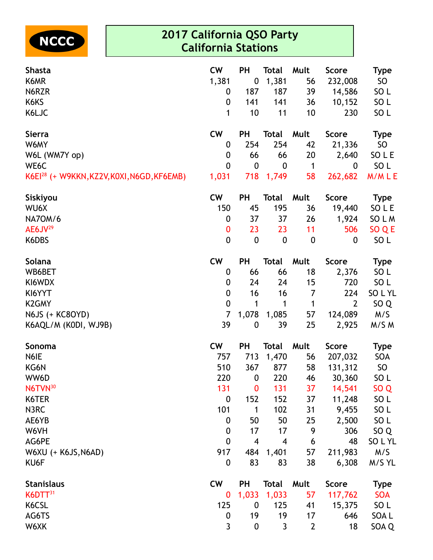

| <b>Shasta</b>                                   | <b>CW</b>        | <b>PH</b>        | <b>Total</b>     | Mult             | <b>Score</b>     | <b>Type</b>     |
|-------------------------------------------------|------------------|------------------|------------------|------------------|------------------|-----------------|
| K6MR                                            | 1,381            | $\boldsymbol{0}$ | 1,381            | 56               | 232,008          | SO              |
| N6RZR                                           | 0                | 187              | 187              | 39               | 14,586           | SO <sub>L</sub> |
| K6KS                                            | $\boldsymbol{0}$ | 141              | 141              | 36               | 10,152           | SO <sub>L</sub> |
| K6LJC                                           | 1                | 10               | 11               | 10               | 230              | SO <sub>L</sub> |
| <b>Sierra</b>                                   | <b>CW</b>        | <b>PH</b>        | <b>Total</b>     | Mult             | <b>Score</b>     | <b>Type</b>     |
| W6MY                                            | 0                | 254              | 254              | 42               | 21,336           | SO              |
| W6L (WM7Y op)                                   | 0                | 66               | 66               | 20               | 2,640            | SO L E          |
| WE6C                                            | 0                | $\boldsymbol{0}$ | $\boldsymbol{0}$ | $\mathbf{1}$     | $\boldsymbol{0}$ | SO <sub>L</sub> |
| $K6E1^{28}$ (+ W9KKN, KZ2V, K0XI, N6GD, KF6EMB) | 1,031            | 718              | 1,749            | 58               | 262,682          | M/MLE           |
| Siskiyou                                        | <b>CW</b>        | <b>PH</b>        | <b>Total</b>     | Mult             | <b>Score</b>     | Type            |
| WU6X                                            | 150              | 45               | 195              | 36               | 19,440           | SOLE            |
| <b>NA7OM/6</b>                                  | 0                | 37               | 37               | 26               | 1,924            | SO L M          |
| $AE6JV^{29}$                                    | 0                | 23               | 23               | 11               | 506              | SO Q E          |
| K6DBS                                           | $\boldsymbol{0}$ | $\boldsymbol{0}$ | $\pmb{0}$        | $\boldsymbol{0}$ | $\boldsymbol{0}$ | SO <sub>L</sub> |
| Solana                                          | <b>CW</b>        | <b>PH</b>        | <b>Total</b>     | Mult             | <b>Score</b>     | <b>Type</b>     |
| WB6BET                                          | 0                | 66               | 66               | 18               | 2,376            | SO <sub>L</sub> |
| KI6WDX                                          | $\boldsymbol{0}$ | 24               | 24               | 15               | 720              | SO <sub>L</sub> |
| KI6YYT                                          | 0                | 16               | 16               | 7                | 224              | SO L YL         |
| <b>K2GMY</b>                                    | $\mathbf 0$      | 1                | 1                | $\mathbf 1$      | $\overline{2}$   | SO <sub>Q</sub> |
| N6JS (+ KC8OYD)                                 | $\overline{7}$   | 1,078            | 1,085            | 57               | 124,089          | M/S             |
| K6AQL/M (KODI, WJ9B)                            | 39               | $\boldsymbol{0}$ | 39               | 25               | 2,925            | M/S M           |
| Sonoma                                          | <b>CW</b>        | <b>PH</b>        | <b>Total</b>     | Mult             | <b>Score</b>     | <b>Type</b>     |
| N6IE                                            | 757              | 713              | 1,470            | 56               | 207,032          | SOA             |
| KG6N                                            | 510              | 367              | 877              | 58               | 131,312          | SO              |
| WW6D                                            | 220              | $\bf{0}$         | 220              | 46               | 30,360           | SO <sub>L</sub> |
| N6TVN <sup>30</sup>                             | 131              | $\boldsymbol{0}$ | 131              | 37               | 14,541           | SO <sub>Q</sub> |
| K6TER                                           | $\mathbf 0$      | 152              | 152              | 37               | 11,248           | SO <sub>L</sub> |
| N3RC                                            | 101              | 1                | 102              | 31               | 9,455            | SO <sub>L</sub> |
| AE6YB                                           | $\mathbf 0$      | 50               | 50               | 25               | 2,500            | SO <sub>L</sub> |
| W6VH                                            | $\boldsymbol{0}$ | 17               | 17               | 9                | 306              | SO <sub>Q</sub> |
| AG6PE                                           | $\mathbf 0$      | $\overline{4}$   | $\overline{4}$   | 6                | 48               | SO L YL         |
| W6XU (+ K6JS, N6AD)                             | 917              | 484              | 1,401            | 57               | 211,983          | M/S             |
| KU6F                                            | 0                | 83               | 83               | 38               | 6,308            | M/S YL          |
| <b>Stanislaus</b>                               | <b>CW</b>        | <b>PH</b>        | <b>Total</b>     | Mult             | <b>Score</b>     | <b>Type</b>     |
| $K6DTT^{31}$                                    | 0                | 1,033            | 1,033            | 57               | 117,762          | <b>SOA</b>      |
| K6CSL                                           | 125              | $\boldsymbol{0}$ | 125              | 41               | 15,375           | SO <sub>L</sub> |
| AG6TS                                           | $\boldsymbol{0}$ | 19               | 19               | 17               | 646              | SOA L           |
| W6XK                                            | 3                | $\boldsymbol{0}$ | 3                | $\overline{2}$   | 18               | SOA Q           |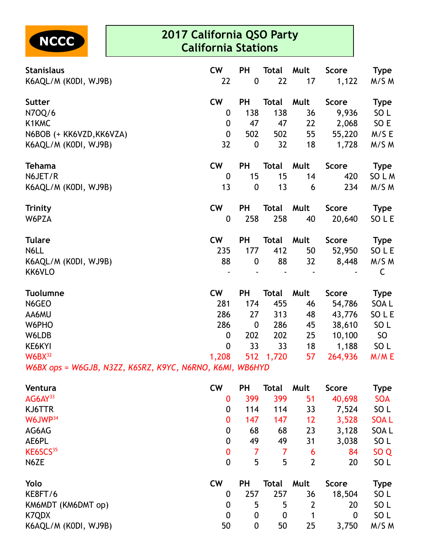

| <b>Stanislaus</b>                                        | <b>CW</b>        | <b>PH</b>        | <b>Total</b> | Mult | <b>Score</b> | <b>Type</b>     |
|----------------------------------------------------------|------------------|------------------|--------------|------|--------------|-----------------|
| K6AQL/M (K0DI, WJ9B)                                     | 22               | $\pmb{0}$        | 22           | 17   | 1,122        | M/S M           |
| <b>Sutter</b>                                            | <b>CW</b>        | <b>PH</b>        | <b>Total</b> | Mult | <b>Score</b> | <b>Type</b>     |
| N70Q/6                                                   | 0                | 138              | 138          | 36   | 9,936        | SO <sub>L</sub> |
| K1KMC                                                    | $\mathbf 0$      | 47               | 47           | 22   | 2,068        | SO E            |
| N6BOB (+ KK6VZD, KK6VZA)                                 | $\mathbf 0$      | 502              | 502          | 55   | 55,220       | M/SE            |
| K6AQL/M (KODI, WJ9B)                                     | 32               | $\boldsymbol{0}$ | 32           | 18   | 1,728        | M/S M           |
| <b>Tehama</b>                                            | <b>CW</b>        | <b>PH</b>        | <b>Total</b> | Mult | <b>Score</b> | <b>Type</b>     |
| N6JET/R                                                  | $\boldsymbol{0}$ | 15               | 15           | 14   | 420          | SOLM            |
| K6AQL/M (KODI, WJ9B)                                     | 13               | $\boldsymbol{0}$ | 13           | 6    | 234          | M/S M           |
| <b>Trinity</b>                                           | <b>CW</b>        | <b>PH</b>        | <b>Total</b> | Mult | <b>Score</b> | <b>Type</b>     |
| W6PZA                                                    | $\mathbf 0$      | 258              | 258          | 40   | 20,640       | SO L E          |
| <b>Tulare</b>                                            | <b>CW</b>        | <b>PH</b>        | <b>Total</b> | Mult | <b>Score</b> | <b>Type</b>     |
| N6LL                                                     | 235              | 177              | 412          | 50   | 52,950       | SO L E          |
| K6AQL/M (K0DI, WJ9B)                                     | 88               | $\boldsymbol{0}$ | 88           | 32   | 8,448        | M/S M           |
| KK6VLO                                                   |                  |                  |              |      |              | C               |
| <b>Tuolumne</b>                                          | <b>CW</b>        | PH               | <b>Total</b> | Mult | <b>Score</b> | <b>Type</b>     |
| N6GEO                                                    | 281              | 174              | 455          | 46   | 54,786       | SOA L           |
| AA6MU                                                    | 286              | 27               | 313          | 48   | 43,776       | SO L E          |
| W6PHO                                                    | 286              | $\mathbf 0$      | 286          | 45   | 38,610       | SO <sub>L</sub> |
| W6LDB                                                    | 0                | 202              | 202          | 25   | 10,100       | SO              |
| KE6KYI                                                   | $\mathbf{0}$     | 33               | 33           | 18   | 1,188        | SO <sub>L</sub> |
| $W6BX^{32}$                                              | 1,208            | 512              | 1,720        | 57   | 264,936      | M/ME            |
| W6BX ops = W6GJB, N3ZZ, K6SRZ, K9YC, N6RNO, K6MI, WB6HYD |                  |                  |              |      |              |                 |

| Ventura              | <b>CW</b>   | <b>PH</b>        | Total            | Mult | <b>Score</b> | Type            |
|----------------------|-------------|------------------|------------------|------|--------------|-----------------|
| AG6AY <sup>33</sup>  | 0           | 399              | 399              | 51   | 40,698       | <b>SOA</b>      |
| KJ6TTR               | 0           | 114              | 114              | 33   | 7,524        | SO <sub>L</sub> |
| W6JWP <sup>34</sup>  | 0           | 147              | 147              | 12   | 3,528        | <b>SOAL</b>     |
| AG6AG                | 0           | 68               | 68               | 23   | 3,128        | SOA L           |
| AE6PL                | 0           | 49               | 49               | 31   | 3,038        | SO <sub>L</sub> |
| KE6SCS <sup>35</sup> | $\bf{0}$    |                  | 7                | 6    | 84           | SO <sub>Q</sub> |
| N6ZE                 | $\mathbf 0$ | 5                | 5                | 2    | 20           | SO <sub>L</sub> |
| Yolo                 | <b>CW</b>   | <b>PH</b>        | Total            | Mult | <b>Score</b> | Type            |
| KE8FT/6              | 0           | 257              | 257              | 36   | 18,504       | SO <sub>L</sub> |
| KM6MDT (KM6DMT op)   | 0           | 5                | 5                | 2    | 20           | SO <sub>L</sub> |
| <b>K7QDX</b>         | $\mathbf 0$ | $\boldsymbol{0}$ | $\boldsymbol{0}$ |      | $\mathbf 0$  | SO <sub>L</sub> |
| K6AQL/M (K0DI, WJ9B) | 50          | $\boldsymbol{0}$ | 50               | 25   | 3,750        | M/S M           |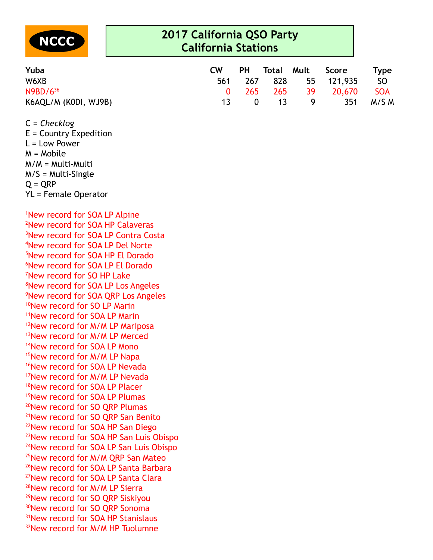

| Yuba                 | <b>CW</b> |                                  |   | PH Total Mult Score    | <b>Type</b> |
|----------------------|-----------|----------------------------------|---|------------------------|-------------|
| W6XB                 |           |                                  |   | 561 267 828 55 121,935 | SO SO       |
| $N9BD/6^{36}$        |           |                                  |   | 0 265 265 39 20,670    | SOA         |
| K6AQL/M (K0DI, WJ9B) | 13.       | $\begin{matrix}0&13\end{matrix}$ | 9 |                        | 351 M/S M   |

C = *Checklog*

E = Country Expedition L = Low Power M = Mobile M/M = Multi-Multi M/S = Multi-Single  $O = ORP$ YL = Female Operator

New record for SOA LP Alpine New record for SOA HP Calaveras New record for SOA LP Contra Costa New record for SOA LP Del Norte New record for SOA HP El Dorado New record for SOA LP El Dorado New record for SO HP Lake New record for SOA LP Los Angeles New record for SOA QRP Los Angeles <sup>10</sup>New record for SO LP Marin New record for SOA LP Marin <sup>12</sup>New record for M/M LP Mariposa <sup>13</sup>New record for M/M LP Merced New record for SOA LP Mono New record for M/M LP Napa <sup>16</sup>New record for SOA LP Nevada New record for M/M LP Nevada New record for SOA LP Placer New record for SOA LP Plumas <sup>20</sup>New record for SO QRP Plumas New record for SO QRP San Benito New record for SOA HP San Diego New record for SOA HP San Luis Obispo New record for SOA LP San Luis Obispo <sup>25</sup>New record for M/M QRP San Mateo <sup>26</sup>New record for SOA LP Santa Barbara <sup>27</sup>New record for SOA LP Santa Clara New record for M/M LP Sierra <sup>29</sup>New record for SO QRP Siskiyou 30New record for SO QRP Sonoma New record for SOA HP Stanislaus <sup>32</sup>New record for M/M HP Tuolumne